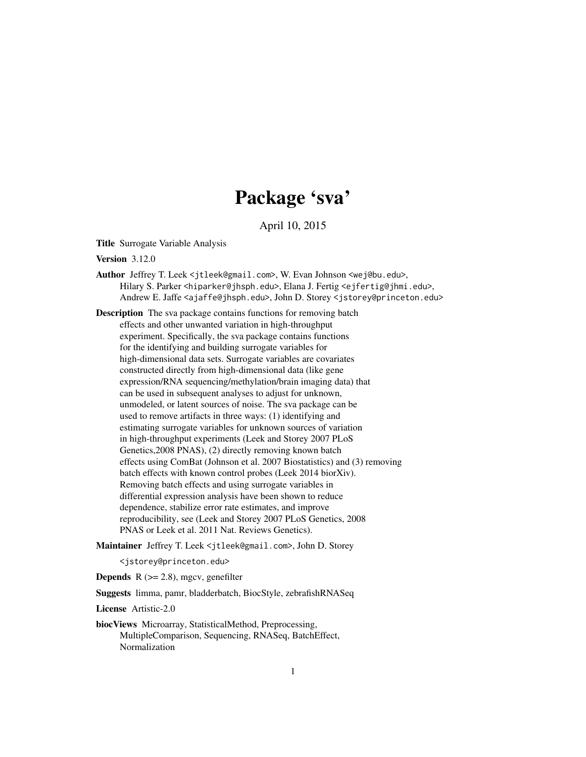## Package 'sva'

April 10, 2015

Title Surrogate Variable Analysis

Version 3.12.0

Author Jeffrey T. Leek <itleek@gmail.com>, W. Evan Johnson <wej@bu.edu>, Hilary S. Parker <hiparker@jhsph.edu>, Elana J. Fertig <ejfertig@jhmi.edu>, Andrew E. Jaffe <ajaffe@jhsph.edu>, John D. Storey <jstorey@princeton.edu>

Description The sva package contains functions for removing batch effects and other unwanted variation in high-throughput experiment. Specifically, the sva package contains functions for the identifying and building surrogate variables for high-dimensional data sets. Surrogate variables are covariates constructed directly from high-dimensional data (like gene expression/RNA sequencing/methylation/brain imaging data) that can be used in subsequent analyses to adjust for unknown, unmodeled, or latent sources of noise. The sva package can be used to remove artifacts in three ways: (1) identifying and estimating surrogate variables for unknown sources of variation in high-throughput experiments (Leek and Storey 2007 PLoS Genetics,2008 PNAS), (2) directly removing known batch effects using ComBat (Johnson et al. 2007 Biostatistics) and (3) removing batch effects with known control probes (Leek 2014 biorXiv). Removing batch effects and using surrogate variables in differential expression analysis have been shown to reduce dependence, stabilize error rate estimates, and improve reproducibility, see (Leek and Storey 2007 PLoS Genetics, 2008 PNAS or Leek et al. 2011 Nat. Reviews Genetics).

Maintainer Jeffrey T. Leek <jtleek@gmail.com>, John D. Storey

<jstorey@princeton.edu>

**Depends** R  $(>= 2.8)$ , mgcv, genefilter

Suggests limma, pamr, bladderbatch, BiocStyle, zebrafishRNASeq

License Artistic-2.0

biocViews Microarray, StatisticalMethod, Preprocessing, MultipleComparison, Sequencing, RNASeq, BatchEffect, Normalization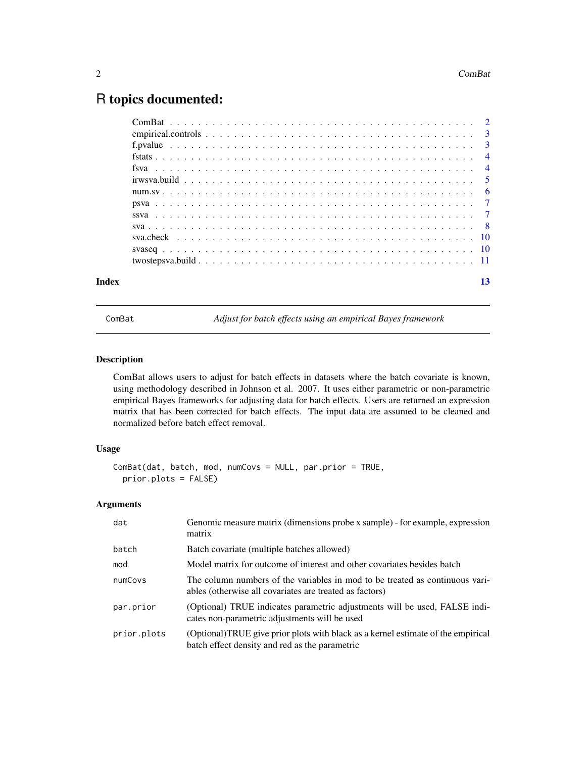### <span id="page-1-0"></span>R topics documented:

| Index | 13 |
|-------|----|

<span id="page-1-1"></span>ComBat *Adjust for batch effects using an empirical Bayes framework*

#### Description

ComBat allows users to adjust for batch effects in datasets where the batch covariate is known, using methodology described in Johnson et al. 2007. It uses either parametric or non-parametric empirical Bayes frameworks for adjusting data for batch effects. Users are returned an expression matrix that has been corrected for batch effects. The input data are assumed to be cleaned and normalized before batch effect removal.

#### Usage

```
ComBat(dat, batch, mod, numCovs = NULL, par.prior = TRUE,
prior.plots = FALSE)
```
#### Arguments

| dat         | Genomic measure matrix (dimensions probe x sample) - for example, expression<br>matrix                                                  |
|-------------|-----------------------------------------------------------------------------------------------------------------------------------------|
| batch       | Batch covariate (multiple batches allowed)                                                                                              |
| mod         | Model matrix for outcome of interest and other covariates besides batch                                                                 |
| numCovs     | The column numbers of the variables in mod to be treated as continuous vari-<br>ables (otherwise all covariates are treated as factors) |
| par.prior   | (Optional) TRUE indicates parametric adjustments will be used, FALSE indi-<br>cates non-parametric adjustments will be used             |
| prior.plots | (Optional)TRUE give prior plots with black as a kernel estimate of the empirical<br>batch effect density and red as the parametric      |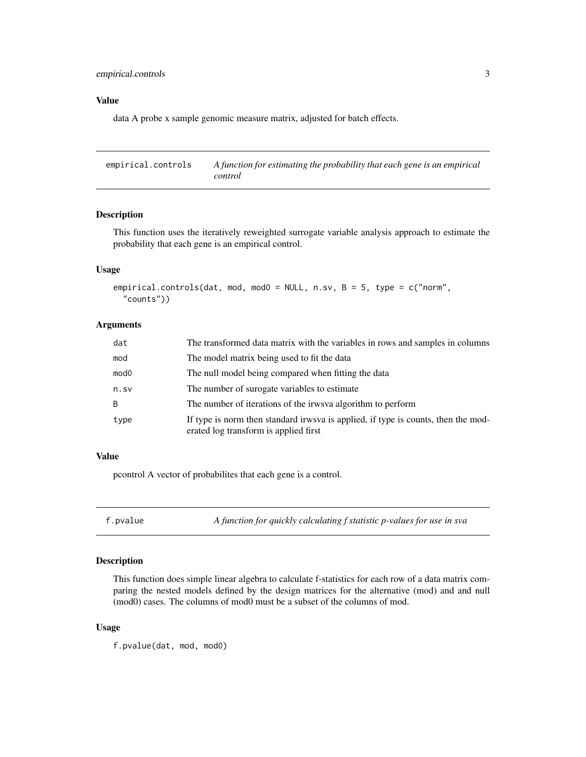#### <span id="page-2-0"></span>Value

data A probe x sample genomic measure matrix, adjusted for batch effects.

<span id="page-2-1"></span>empirical.controls *A function for estimating the probability that each gene is an empirical control*

#### Description

This function uses the iteratively reweighted surrogate variable analysis approach to estimate the probability that each gene is an empirical control.

#### Usage

```
empirical.controls(dat, mod, mod0 = NULL, n.sv, B = 5, type = c("norm",
 "counts"))
```
#### Arguments

| dat              | The transformed data matrix with the variables in rows and samples in columns                                              |
|------------------|----------------------------------------------------------------------------------------------------------------------------|
| mod              | The model matrix being used to fit the data                                                                                |
| mod <sub>0</sub> | The null model being compared when fitting the data                                                                        |
| n.sv             | The number of surogate variables to estimate                                                                               |
| B                | The number of iterations of the irws vaalgorithm to perform                                                                |
| type             | If type is norm then standard irwsva is applied, if type is counts, then the mod-<br>erated log transform is applied first |

#### Value

pcontrol A vector of probabilites that each gene is a control.

f.pvalue *A function for quickly calculating f statistic p-values for use in sva*

#### Description

This function does simple linear algebra to calculate f-statistics for each row of a data matrix comparing the nested models defined by the design matrices for the alternative (mod) and and null (mod0) cases. The columns of mod0 must be a subset of the columns of mod.

#### Usage

f.pvalue(dat, mod, mod0)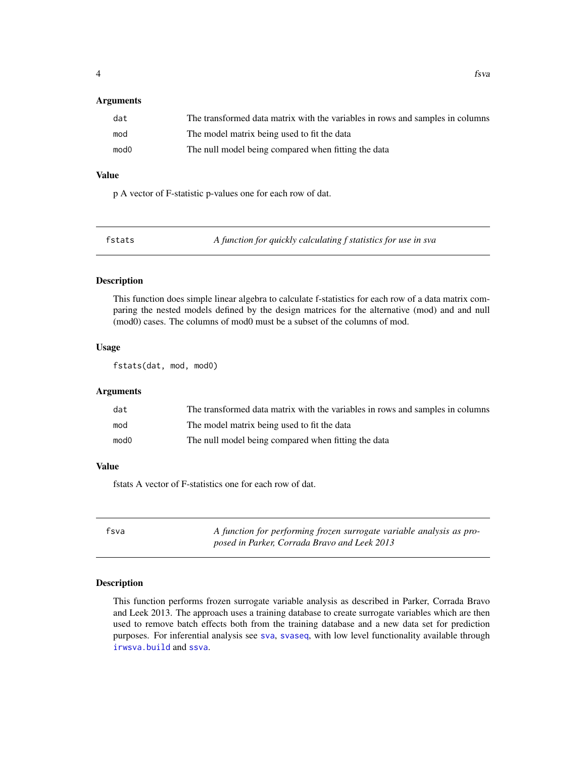#### <span id="page-3-0"></span>**Arguments**

| dat              | The transformed data matrix with the variables in rows and samples in columns |
|------------------|-------------------------------------------------------------------------------|
| mod              | The model matrix being used to fit the data                                   |
| mod <sub>0</sub> | The null model being compared when fitting the data                           |

#### Value

p A vector of F-statistic p-values one for each row of dat.

| A function for quickly calculating f statistics for use in sva<br>fstats |  |
|--------------------------------------------------------------------------|--|
|--------------------------------------------------------------------------|--|

#### Description

This function does simple linear algebra to calculate f-statistics for each row of a data matrix comparing the nested models defined by the design matrices for the alternative (mod) and and null (mod0) cases. The columns of mod0 must be a subset of the columns of mod.

#### Usage

fstats(dat, mod, mod0)

#### Arguments

| dat              | The transformed data matrix with the variables in rows and samples in columns |
|------------------|-------------------------------------------------------------------------------|
| mod              | The model matrix being used to fit the data                                   |
| mod <sub>0</sub> | The null model being compared when fitting the data                           |

#### Value

fstats A vector of F-statistics one for each row of dat.

<span id="page-3-1"></span>fsva *A function for performing frozen surrogate variable analysis as proposed in Parker, Corrada Bravo and Leek 2013*

#### Description

This function performs frozen surrogate variable analysis as described in Parker, Corrada Bravo and Leek 2013. The approach uses a training database to create surrogate variables which are then used to remove batch effects both from the training database and a new data set for prediction purposes. For inferential analysis see [sva](#page-7-1), [svaseq](#page-9-1), with low level functionality available through [irwsva.build](#page-4-1) and [ssva](#page-6-1).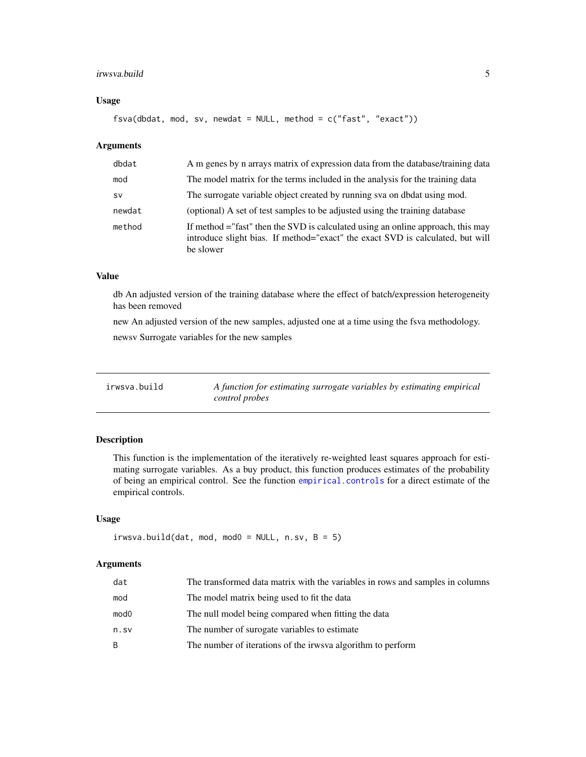#### <span id="page-4-0"></span>irwsva.build 5

#### Usage

fsva(dbdat, mod, sv, newdat = NULL, method = c("fast", "exact"))

#### Arguments

| dbdat     | A m genes by n arrays matrix of expression data from the database/training data                                                                                                 |
|-----------|---------------------------------------------------------------------------------------------------------------------------------------------------------------------------------|
| mod       | The model matrix for the terms included in the analysis for the training data                                                                                                   |
| <b>SV</b> | The surrogate variable object created by running sva on dbdat using mod.                                                                                                        |
| newdat    | (optional) A set of test samples to be adjusted using the training database                                                                                                     |
| method    | If method = "fast" then the SVD is calculated using an online approach, this may<br>introduce slight bias. If method="exact" the exact SVD is calculated, but will<br>be slower |

#### Value

db An adjusted version of the training database where the effect of batch/expression heterogeneity has been removed

new An adjusted version of the new samples, adjusted one at a time using the fsva methodology. newsv Surrogate variables for the new samples

<span id="page-4-1"></span>

| irwsva.build | A function for estimating surrogate variables by estimating empirical |
|--------------|-----------------------------------------------------------------------|
|              | control probes                                                        |

#### Description

This function is the implementation of the iteratively re-weighted least squares approach for estimating surrogate variables. As a buy product, this function produces estimates of the probability of being an empirical control. See the function [empirical.controls](#page-2-1) for a direct estimate of the empirical controls.

#### Usage

```
irwsva.build(dat, mod, mod0 = NULL, n.sv, B = 5)
```
#### Arguments

| dat  | The transformed data matrix with the variables in rows and samples in columns |
|------|-------------------------------------------------------------------------------|
| mod  | The model matrix being used to fit the data                                   |
| mod0 | The null model being compared when fitting the data                           |
| n.sv | The number of surogate variables to estimate                                  |
| B.   | The number of iterations of the irws vaalgorithm to perform                   |
|      |                                                                               |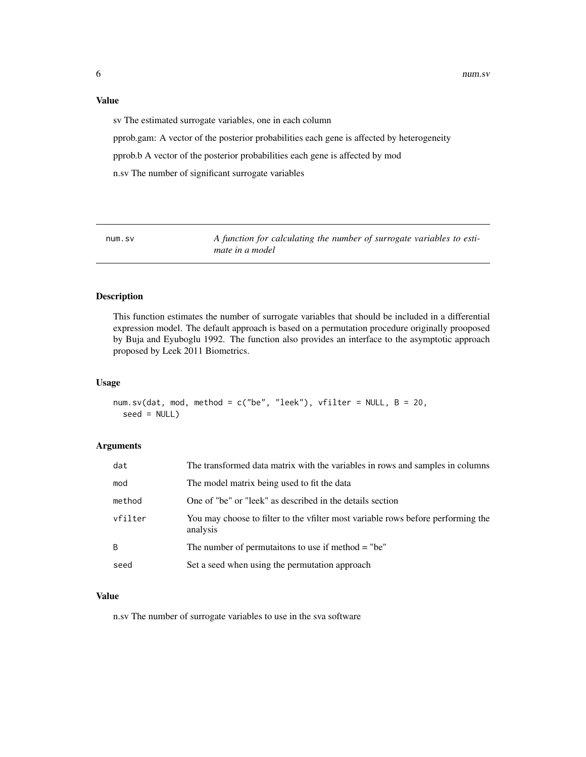#### <span id="page-5-0"></span>Value

sv The estimated surrogate variables, one in each column

pprob.gam: A vector of the posterior probabilities each gene is affected by heterogeneity

pprob.b A vector of the posterior probabilities each gene is affected by mod

n.sv The number of significant surrogate variables

num.sv *A function for calculating the number of surrogate variables to estimate in a model*

#### Description

This function estimates the number of surrogate variables that should be included in a differential expression model. The default approach is based on a permutation procedure originally prooposed by Buja and Eyuboglu 1992. The function also provides an interface to the asymptotic approach proposed by Leek 2011 Biometrics.

#### Usage

```
num.sv(dat, mod, method = c("be", "leek"), vfilter = NULL, B = 20,
 seed = NULL)
```
#### Arguments

| dat     | The transformed data matrix with the variables in rows and samples in columns                |
|---------|----------------------------------------------------------------------------------------------|
| mod     | The model matrix being used to fit the data                                                  |
| method  | One of "be" or "leek" as described in the details section                                    |
| vfilter | You may choose to filter to the vfilter most variable rows before performing the<br>analysis |
| B       | The number of permutaitons to use if method $=$ "be"                                         |
| seed    | Set a seed when using the permutation approach                                               |

#### Value

n.sv The number of surrogate variables to use in the sva software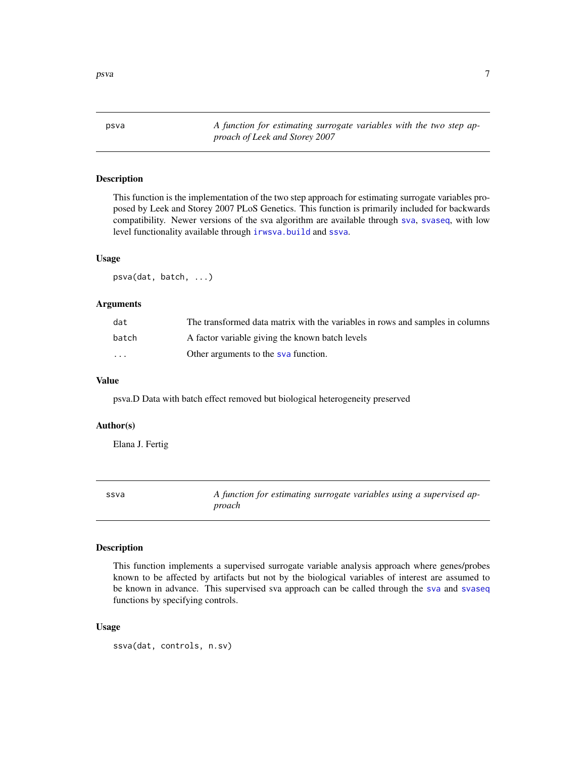<span id="page-6-0"></span>

psva *A function for estimating surrogate variables with the two step approach of Leek and Storey 2007*

#### Description

This function is the implementation of the two step approach for estimating surrogate variables proposed by Leek and Storey 2007 PLoS Genetics. This function is primarily included for backwards compatibility. Newer versions of the sva algorithm are available through [sva](#page-7-1), [svaseq](#page-9-1), with low level functionality available through [irwsva.build](#page-4-1) and [ssva](#page-6-1).

#### Usage

psva(dat, batch, ...)

#### Arguments

| dat   | The transformed data matrix with the variables in rows and samples in columns |
|-------|-------------------------------------------------------------------------------|
| batch | A factor variable giving the known batch levels                               |
| .     | Other arguments to the sva function.                                          |

#### Value

psva.D Data with batch effect removed but biological heterogeneity preserved

#### Author(s)

Elana J. Fertig

<span id="page-6-1"></span>ssva *A function for estimating surrogate variables using a supervised approach*

#### Description

This function implements a supervised surrogate variable analysis approach where genes/probes known to be affected by artifacts but not by the biological variables of interest are assumed to be known in advance. This supervised sva approach can be called through the [sva](#page-7-1) and [svaseq](#page-9-1) functions by specifying controls.

#### Usage

ssva(dat, controls, n.sv)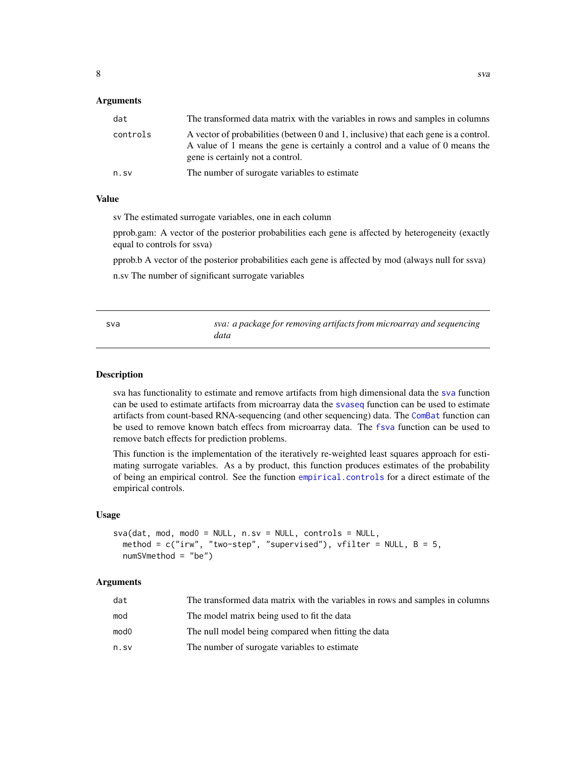#### <span id="page-7-0"></span>**Arguments**

| dat      | The transformed data matrix with the variables in rows and samples in columns                                                                                                                            |
|----------|----------------------------------------------------------------------------------------------------------------------------------------------------------------------------------------------------------|
| controls | A vector of probabilities (between 0 and 1, inclusive) that each gene is a control.<br>A value of 1 means the gene is certainly a control and a value of 0 means the<br>gene is certainly not a control. |
| n.sv     | The number of surogate variables to estimate                                                                                                                                                             |

#### Value

sv The estimated surrogate variables, one in each column

pprob.gam: A vector of the posterior probabilities each gene is affected by heterogeneity (exactly equal to controls for ssva)

pprob.b A vector of the posterior probabilities each gene is affected by mod (always null for ssva)

n.sv The number of significant surrogate variables

<span id="page-7-1"></span>

| sva | sva: a package for removing artifacts from microarray and sequencing |
|-----|----------------------------------------------------------------------|
|     | data                                                                 |

#### Description

sva has functionality to estimate and remove artifacts from high dimensional data the [sva](#page-7-1) function can be used to estimate artifacts from microarray data the [svaseq](#page-9-1) function can be used to estimate artifacts from count-based RNA-sequencing (and other sequencing) data. The [ComBat](#page-1-1) function can be used to remove known batch effecs from microarray data. The [fsva](#page-3-1) function can be used to remove batch effects for prediction problems.

This function is the implementation of the iteratively re-weighted least squares approach for estimating surrogate variables. As a by product, this function produces estimates of the probability of being an empirical control. See the function [empirical.controls](#page-2-1) for a direct estimate of the empirical controls.

#### Usage

```
sva(data, mod, mod0 = NULL, n.sv = NULL, controls = NULL,method = c("irw", "two-step", "supervised"), vfilter = NULL, <math>B = 5</math>,numSVmethod = "be")
```
#### Arguments

| dat  | The transformed data matrix with the variables in rows and samples in columns |
|------|-------------------------------------------------------------------------------|
| mod  | The model matrix being used to fit the data                                   |
| mod0 | The null model being compared when fitting the data                           |
| n.sv | The number of surogate variables to estimate                                  |
|      |                                                                               |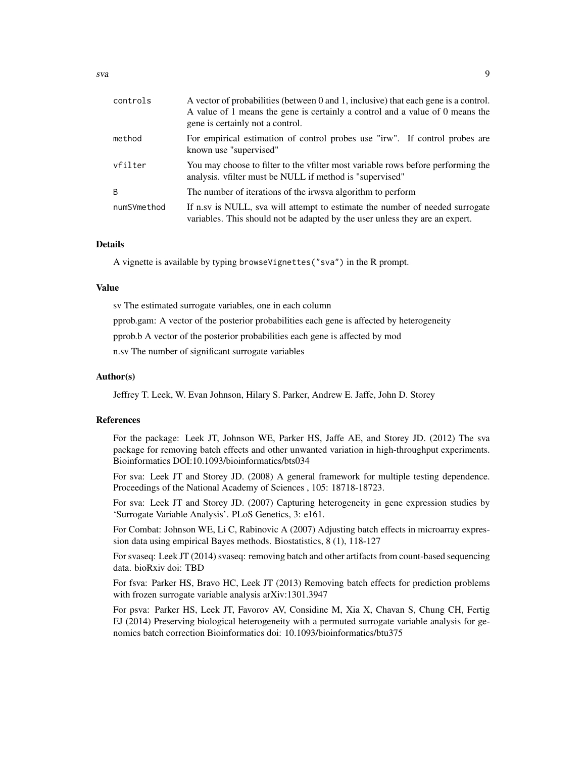| controls     | A vector of probabilities (between 0 and 1, inclusive) that each gene is a control.<br>A value of 1 means the gene is certainly a control and a value of 0 means the<br>gene is certainly not a control. |
|--------------|----------------------------------------------------------------------------------------------------------------------------------------------------------------------------------------------------------|
| method       | For empirical estimation of control probes use "irw". If control probes are<br>known use "supervised"                                                                                                    |
| vfilter      | You may choose to filter to the vfilter most variable rows before performing the<br>analysis. vfilter must be NULL if method is "supervised"                                                             |
| <sup>B</sup> | The number of iterations of the irws a algorithm to perform                                                                                                                                              |
| numSVmethod  | If n.sv is NULL, sva will attempt to estimate the number of needed surrogate<br>variables. This should not be adapted by the user unless they are an expert.                                             |

#### Details

A vignette is available by typing browseVignettes("sva") in the R prompt.

#### Value

sv The estimated surrogate variables, one in each column

pprob.gam: A vector of the posterior probabilities each gene is affected by heterogeneity

pprob.b A vector of the posterior probabilities each gene is affected by mod

n.sv The number of significant surrogate variables

#### Author(s)

Jeffrey T. Leek, W. Evan Johnson, Hilary S. Parker, Andrew E. Jaffe, John D. Storey

#### References

For the package: Leek JT, Johnson WE, Parker HS, Jaffe AE, and Storey JD. (2012) The sva package for removing batch effects and other unwanted variation in high-throughput experiments. Bioinformatics DOI:10.1093/bioinformatics/bts034

For sva: Leek JT and Storey JD. (2008) A general framework for multiple testing dependence. Proceedings of the National Academy of Sciences , 105: 18718-18723.

For sva: Leek JT and Storey JD. (2007) Capturing heterogeneity in gene expression studies by 'Surrogate Variable Analysis'. PLoS Genetics, 3: e161.

For Combat: Johnson WE, Li C, Rabinovic A (2007) Adjusting batch effects in microarray expression data using empirical Bayes methods. Biostatistics, 8 (1), 118-127

For svaseq: Leek JT (2014) svaseq: removing batch and other artifacts from count-based sequencing data. bioRxiv doi: TBD

For fsva: Parker HS, Bravo HC, Leek JT (2013) Removing batch effects for prediction problems with frozen surrogate variable analysis arXiv:1301.3947

For psva: Parker HS, Leek JT, Favorov AV, Considine M, Xia X, Chavan S, Chung CH, Fertig EJ (2014) Preserving biological heterogeneity with a permuted surrogate variable analysis for genomics batch correction Bioinformatics doi: 10.1093/bioinformatics/btu375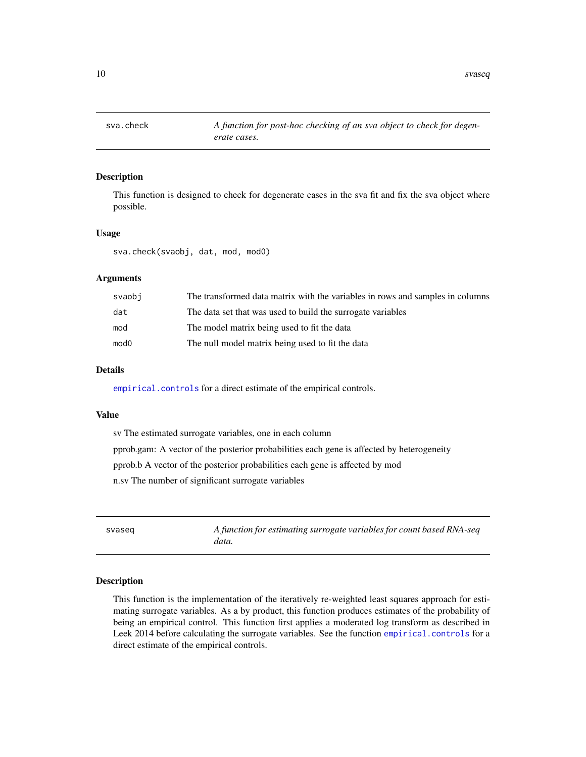<span id="page-9-0"></span>

#### Description

This function is designed to check for degenerate cases in the sva fit and fix the sva object where possible.

#### Usage

sva.check(svaobj, dat, mod, mod0)

#### Arguments

| svaobi           | The transformed data matrix with the variables in rows and samples in columns |
|------------------|-------------------------------------------------------------------------------|
| dat              | The data set that was used to build the surrogate variables                   |
| mod              | The model matrix being used to fit the data                                   |
| mod <sub>0</sub> | The null model matrix being used to fit the data                              |

#### Details

[empirical.controls](#page-2-1) for a direct estimate of the empirical controls.

#### Value

sv The estimated surrogate variables, one in each column pprob.gam: A vector of the posterior probabilities each gene is affected by heterogeneity pprob.b A vector of the posterior probabilities each gene is affected by mod n.sv The number of significant surrogate variables

<span id="page-9-1"></span>svaseq *A function for estimating surrogate variables for count based RNA-seq data.*

#### Description

This function is the implementation of the iteratively re-weighted least squares approach for estimating surrogate variables. As a by product, this function produces estimates of the probability of being an empirical control. This function first applies a moderated log transform as described in Leek 2014 before calculating the surrogate variables. See the function [empirical.controls](#page-2-1) for a direct estimate of the empirical controls.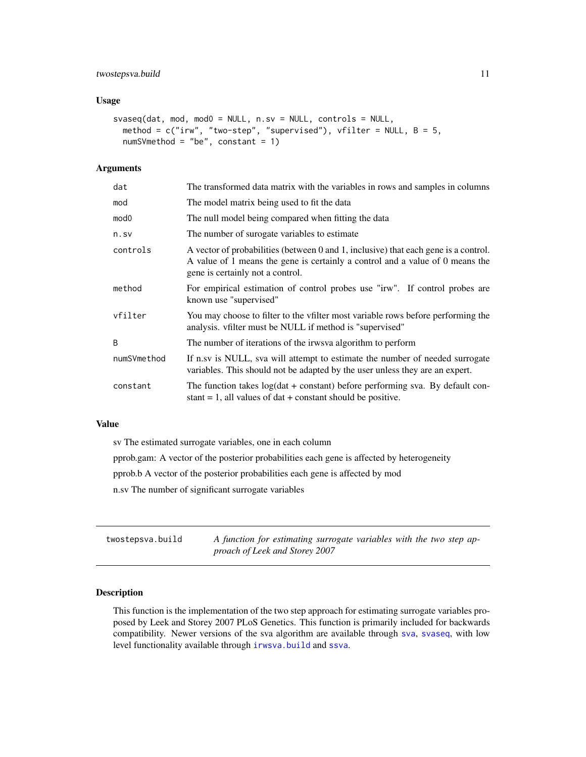#### <span id="page-10-0"></span>twostepsva.build 11

#### Usage

```
svaseq(dat, mod, mod0 = NULL, n.sv = NULL, controls = NULL,
method = c("irw", "two-step", "supervised"), vfilter = NULL, B = 5,
numSVmethod = "be", constant = 1)
```
#### Arguments

| dat         | The transformed data matrix with the variables in rows and samples in columns                                                                                                                            |
|-------------|----------------------------------------------------------------------------------------------------------------------------------------------------------------------------------------------------------|
| mod         | The model matrix being used to fit the data                                                                                                                                                              |
| mod0        | The null model being compared when fitting the data                                                                                                                                                      |
| n.sv        | The number of surogate variables to estimate                                                                                                                                                             |
| controls    | A vector of probabilities (between 0 and 1, inclusive) that each gene is a control.<br>A value of 1 means the gene is certainly a control and a value of 0 means the<br>gene is certainly not a control. |
| method      | For empirical estimation of control probes use "irw". If control probes are<br>known use "supervised"                                                                                                    |
| vfilter     | You may choose to filter to the vfilter most variable rows before performing the<br>analysis. vfilter must be NULL if method is "supervised"                                                             |
| B           | The number of iterations of the irws a algorithm to perform                                                                                                                                              |
| numSVmethod | If n.sv is NULL, sva will attempt to estimate the number of needed surrogate<br>variables. This should not be adapted by the user unless they are an expert.                                             |
| constant    | The function takes $log(data + constant)$ before performing sva. By default con-<br>stant $= 1$ , all values of dat $+$ constant should be positive.                                                     |

#### Value

sv The estimated surrogate variables, one in each column

pprob.gam: A vector of the posterior probabilities each gene is affected by heterogeneity

pprob.b A vector of the posterior probabilities each gene is affected by mod

n.sv The number of significant surrogate variables

| twostepsva.build | A function for estimating surrogate variables with the two step ap- |
|------------------|---------------------------------------------------------------------|
|                  | proach of Leek and Storey 2007                                      |

#### Description

This function is the implementation of the two step approach for estimating surrogate variables proposed by Leek and Storey 2007 PLoS Genetics. This function is primarily included for backwards compatibility. Newer versions of the sva algorithm are available through [sva](#page-7-1), [svaseq](#page-9-1), with low level functionality available through [irwsva.build](#page-4-1) and [ssva](#page-6-1).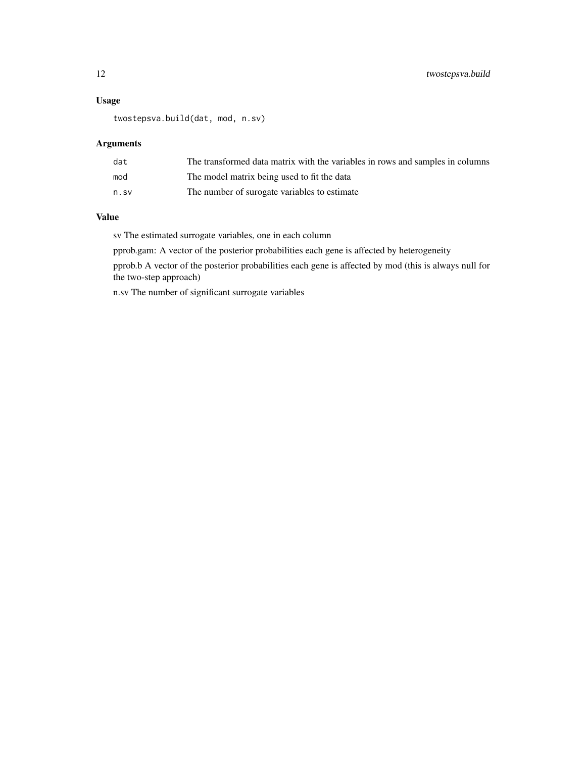#### Usage

twostepsva.build(dat, mod, n.sv)

#### Arguments

| dat  | The transformed data matrix with the variables in rows and samples in columns |
|------|-------------------------------------------------------------------------------|
| mod  | The model matrix being used to fit the data                                   |
| n.sv | The number of surogate variables to estimate                                  |

#### Value

sv The estimated surrogate variables, one in each column

pprob.gam: A vector of the posterior probabilities each gene is affected by heterogeneity

pprob.b A vector of the posterior probabilities each gene is affected by mod (this is always null for the two-step approach)

n.sv The number of significant surrogate variables